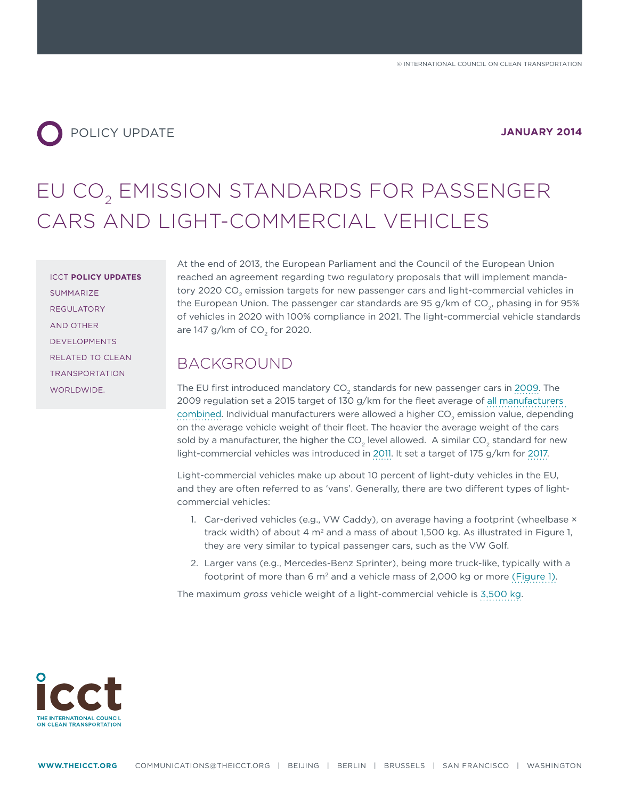

# EU CO<sub>2</sub> EMISSION STANDARDS FOR PASSENGER CARS AND LIGHT-COMMERCIAL VEHICLES

ICCT **POLICY UPDATES** SUMMARIZE REGULATORY AND OTHER DEVELOPMENTS RELATED TO CLEAN TRANSPORTATION WORLDWIDE.

At the end of 2013, the European Parliament and the Council of the European Union reached an agreement regarding two regulatory proposals that will implement mandatory 2020 CO<sub>2</sub> emission targets for new passenger cars and light-commercial vehicles in the European Union. The passenger car standards are 95 g/km of  $CO<sub>2</sub>$ , phasing in for 95% of vehicles in 2020 with 100% compliance in 2021. The light-commercial vehicle standards are 147 g/km of CO<sub>2</sub> for 2020.

### BACKGROUND

The EU first introduced mandatory CO<sub>2</sub> standards for new passenger cars in [2009.](http://www.theicct.org/blogs/staff/importance-mandatory-standards) The 2009 regulation set a 2015 target of 130 g/km for the fleet average of [all manufacturers](http://eur-lex.europa.eu/LexUriServ/LexUriServ.do?uri=OJ:L:2009:140:0001:0015:EN:PDF)  [combined](http://eur-lex.europa.eu/LexUriServ/LexUriServ.do?uri=OJ:L:2009:140:0001:0015:EN:PDF). Individual manufacturers were allowed a higher CO<sub>2</sub> emission value, depending on the average vehicle weight of their fleet. The heavier the average weight of the cars sold by a manufacturer, the higher the  $CO<sub>2</sub>$  level allowed. A similar  $CO<sub>2</sub>$  standard for new light-commercial vehicles was introduced in [2011.](http://www.theicct.org/european-co2-emission-performance-standards-light-commercial-vehicles) It set a target of 175 g/km for [2017](http://eur-lex.europa.eu/LexUriServ/LexUriServ.do?uri=CONSLEG:2011R0510:20120313:en:PDF).

Light-commercial vehicles make up about 10 percent of light-duty vehicles in the EU, and they are often referred to as 'vans'. Generally, there are two different types of lightcommercial vehicles:

- 1. Car-derived vehicles (e.g., VW Caddy), on average having a footprint (wheelbase  $\times$ track width) of about 4  $m<sup>2</sup>$  and a mass of about 1,500 kg. As illustrated in Figure 1, they are very similar to typical passenger cars, such as the VW Golf.
- 2. Larger vans (e.g., Mercedes-Benz Sprinter), being more truck-like, typically with a footprint of more than 6 m<sup>2</sup> and a vehicle mass of 2,000 kg or more [\(Figure 1\).](http://www.theicct.org/european-vehicle-market-statistics-2013)

The maximum *gross* vehicle weight of a light-commercial vehicle is [3,500 kg.](http://www.transportpolicy.net/index.php?title=EU:_Vehicle_Definitions)

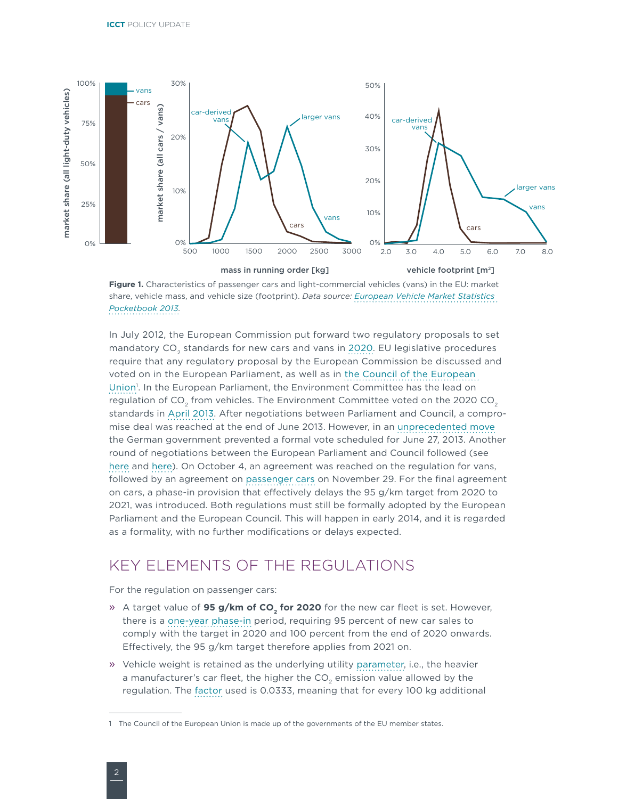

**Figure 1.** Characteristics of passenger cars and light-commercial vehicles (vans) in the EU: market share, vehicle mass, and vehicle size (footprint). *Data source: [European Vehicle Market Statistics](http://www.theicct.org/european-vehicle-market-statistics-2013)  [Pocketbook 2013.](http://www.theicct.org/european-vehicle-market-statistics-2013)*

In July 2012, the European Commission put forward two regulatory proposals to set mandatory CO<sub>2</sub> standards for new cars and vans in [2020.](http://www.theicct.org/eu-2020-co2-emission-standards-cars-and-vans) EU legislative procedures require that any regulatory proposal by the European Commission be discussed and voted on in the European Parliament, as well as in [the Council of the European](http://www.transportpolicy.net/index.php?title=EU:_Regulatory_Background)  Union<sup>1</sup>. In the European Parliament, the Environment Committee has the lead on regulation of  $CO<sub>2</sub>$  from vehicles. The Environment Committee voted on the 2020 CO<sub>2</sub> standards in [April 2013.](http://www.theicct.org/blogs/staff/eu-vote-cars-co2) After negotiations between Parliament and Council, a compromise deal was reached at the end of June 2013. However, in an [unprecedented move](http://www.theicct.org/blogs/staff/midsummer-nights-skullduggery) the German government prevented a formal vote scheduled for June 27, 2013. Another round of negotiations between the European Parliament and Council followed (see [here](http://www.theicct.org/blogs/staff/eu-co2-standards-thriller-continued) and [here](http://www.theicct.org/blogs/staff/latest-eu-bazaar-carpet-trading-emissions-trading)). On October 4, an agreement was reached on the regulation for vans, followed by an agreement on [passenger cars](http://www.consilium.europa.eu/uedocs/cms_Data/docs/pressdata/en/envir/139786.pdf) on November 29. For the final agreement on cars, a phase-in provision that effectively delays the 95 g/km target from 2020 to 2021, was introduced. Both regulations must still be formally adopted by the European Parliament and the European Council. This will happen in early 2014, and it is regarded as a formality, with no further modifications or delays expected.

### KEY ELEMENTS OF THE REGULATIONS

For the regulation on passenger cars:

- » A target value of **95 g/km of CO<sub>2</sub> for 2020** for the new car fleet is set. However, there is a [one-year phase-in](http://www.theicct.org/blogs/staff/eu-co2-standards-thriller-continued) period, requiring 95 percent of new car sales to comply with the target in 2020 and 100 percent from the end of 2020 onwards. Effectively, the 95 g/km target therefore applies from 2021 on.
- » Vehicle weight is retained as the underlying utility [parameter](http://www.theicct.org/evaluation-parameter-based-vehicle-emissions-targets-eu), i.e., the heavier a manufacturer's car fleet, the higher the  $CO<sub>2</sub>$  emission value allowed by the regulation. The [factor](http://www.theicct.org/blogs/staff/detailing-eu2020-co2emissionregs-cars) used is 0.0333, meaning that for every 100 kg additional

<sup>1</sup> The Council of the European Union is made up of the governments of the EU member states.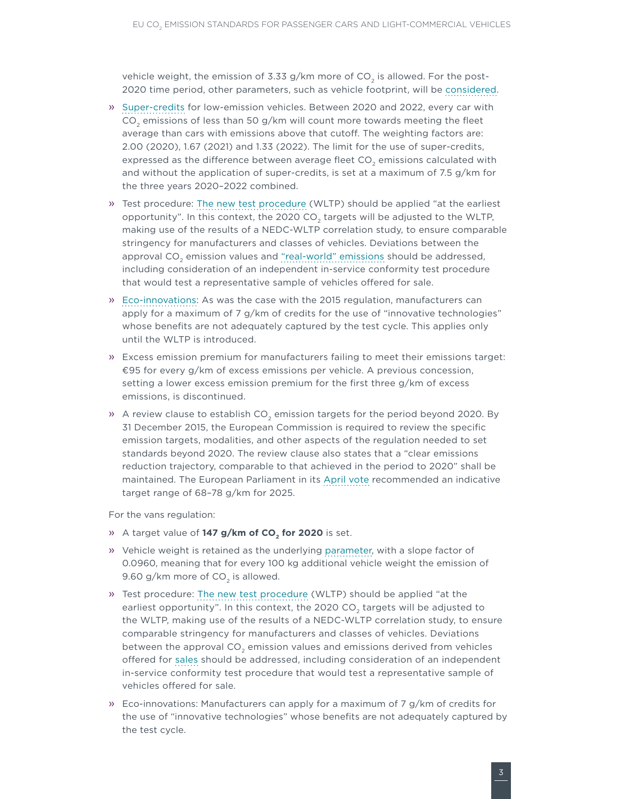vehicle weight, the emission of 3.33 g/km more of  $CO<sub>2</sub>$  is allowed. For the post-2020 time period, other parameters, such as vehicle footprint, will be [considered](http://www.theicct.org/blogs/staff/eu-vote-cars-co2).

- » [Super-credits](http://www.transportenvironment.org/publications/effect-lithuanian-proposal-european-parliament-car-co2-emissions-targets-0) for low-emission vehicles. Between 2020 and 2022, every car with  $CO<sub>2</sub>$  emissions of less than 50 g/km will count more towards meeting the fleet average than cars with emissions above that cutoff. The weighting factors are: 2.00 (2020), 1.67 (2021) and 1.33 (2022). The limit for the use of super-credits, expressed as the difference between average fleet  $CO<sub>2</sub>$  emissions calculated with and without the application of super-credits, is set at a maximum of 7.5 g/km for the three years 2020–2022 combined.
- » Test procedure: [The new test procedure](http://www.theicct.org/wltp-november2013-update) (WLTP) should be applied "at the earliest opportunity". In this context, the 2020 CO<sub>2</sub> targets will be adjusted to the WLTP, making use of the results of a NEDC-WLTP correlation study, to ensure comparable stringency for manufacturers and classes of vehicles. Deviations between the approval  $CO<sub>2</sub>$  emission values and ["real-world" emissions](http://www.theicct.org/laboratory-road) should be addressed, including consideration of an independent in-service conformity test procedure that would test a representative sample of vehicles offered for sale.
- » [Eco-innovations:](http://ec.europa.eu/clima/news/articles/news_2013031301_en.htm) As was the case with the 2015 regulation, manufacturers can apply for a maximum of 7 g/km of credits for the use of "innovative technologies" whose benefits are not adequately captured by the test cycle. This applies only until the WLTP is introduced.
- » Excess emission premium for manufacturers failing to meet their emissions target: €95 for every g/km of excess emissions per vehicle. A previous concession, setting a lower excess emission premium for the first three g/km of excess emissions, is discontinued.
- » A review clause to establish  $CO<sub>2</sub>$  emission targets for the period beyond 2020. By 31 December 2015, the European Commission is required to review the specific emission targets, modalities, and other aspects of the regulation needed to set standards beyond 2020. The review clause also states that a "clear emissions reduction trajectory, comparable to that achieved in the period to 2020" shall be maintained. The European Parliament in its [April vote](http://www.theicct.org/blogs/staff/eu-vote-cars-co2) recommended an indicative target range of 68–78 g/km for 2025.

For the vans regulation:

- » A target value of 147 g/km of CO<sub>2</sub> for 2020 is set.
- » Vehicle weight is retained as the underlying [parameter](http://www.theicct.org/evaluation-parameter-based-vehicle-emissions-targets-eu), with a slope factor of 0.0960, meaning that for every 100 kg additional vehicle weight the emission of 9.60 g/km more of CO<sub>2</sub> is allowed.
- » Test procedure: [The new test procedure](http://www.theicct.org/wltp-november2013-update) (WLTP) should be applied "at the earliest opportunity". In this context, the 2020 CO<sub>2</sub> targets will be adjusted to the WLTP, making use of the results of a NEDC-WLTP correlation study, to ensure comparable stringency for manufacturers and classes of vehicles. Deviations between the approval CO<sub>2</sub> emission values and emissions derived from vehicles offered for [sales](http://www.theicct.org/laboratory-road) should be addressed, including consideration of an independent in-service conformity test procedure that would test a representative sample of vehicles offered for sale.
- » Eco-innovations: Manufacturers can apply for a maximum of 7 g/km of credits for the use of "innovative technologies" whose benefits are not adequately captured by the test cycle.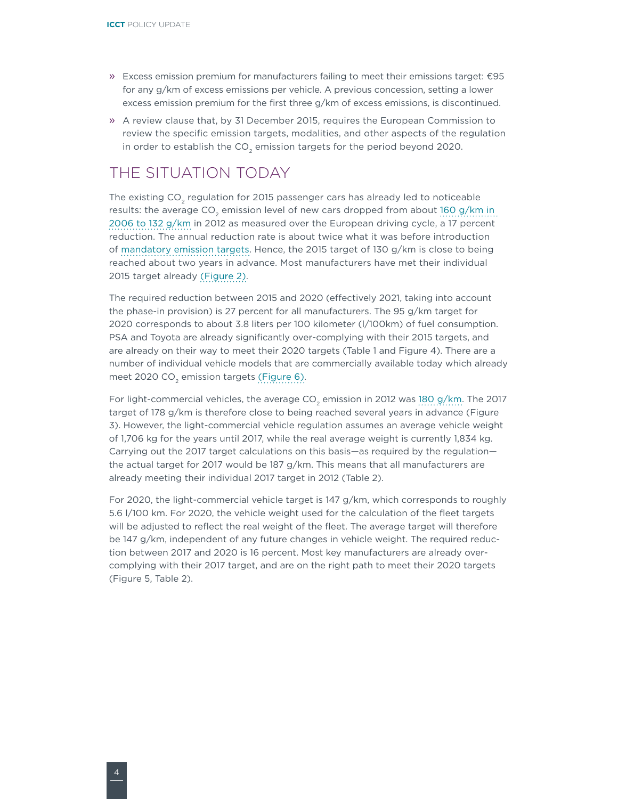- » Excess emission premium for manufacturers failing to meet their emissions target: €95 for any g/km of excess emissions per vehicle. A previous concession, setting a lower excess emission premium for the first three g/km of excess emissions, is discontinued.
- » A review clause that, by 31 December 2015, requires the European Commission to review the specific emission targets, modalities, and other aspects of the regulation in order to establish the  $CO<sub>2</sub>$  emission targets for the period beyond 2020.

## THE SITUATION TODAY

The existing  $CO<sub>2</sub>$  regulation for 2015 passenger cars has already led to noticeable results: the average  $CO<sub>2</sub>$  emission level of new cars dropped from about 160 g/km in [2006 to 132 g/km](http://www.eea.europa.eu//publications/co2-emissions-performance-of-car-1) in 2012 as measured over the European driving cycle, a 17 percent reduction. The annual reduction rate is about twice what it was before introduction of [mandatory emission targets](http://www.theicct.org/briefing-near-term-tech%20potential-new-cars-eu). Hence, the 2015 target of 130 g/km is close to being reached about two years in advance. Most manufacturers have met their individual 2015 target already [\(Figure 2\).](http://www.transportenvironment.org/publications/how-clean-are-europes-cars-2013)

The required reduction between 2015 and 2020 (effectively 2021, taking into account the phase-in provision) is 27 percent for all manufacturers. The 95 g/km target for 2020 corresponds to about 3.8 liters per 100 kilometer (l/100km) of fuel consumption. PSA and Toyota are already significantly over-complying with their 2015 targets, and are already on their way to meet their 2020 targets (Table 1 and Figure 4). There are a number of individual vehicle models that are commercially available today which already meet 2020 CO<sub>2</sub> emission targets [\(Figure 6\).](http://www.theicct.org/blogs/staff/art-cooking-popcorn-and-2013-eu-statistical-pocketbook)

For light-commercial vehicles, the average  $CO<sub>2</sub>$  emission in 2012 was [180 g/km.](http://www.eea.europa.eu/highlights/van-manufacturers-must-make-new) The 2017 target of 178 g/km is therefore close to being reached several years in advance (Figure 3). However, the light-commercial vehicle regulation assumes an average vehicle weight of 1,706 kg for the years until 2017, while the real average weight is currently 1,834 kg. Carrying out the 2017 target calculations on this basis—as required by the regulation the actual target for 2017 would be 187 g/km. This means that all manufacturers are already meeting their individual 2017 target in 2012 (Table 2).

For 2020, the light-commercial vehicle target is 147 g/km, which corresponds to roughly 5.6 l/100 km. For 2020, the vehicle weight used for the calculation of the fleet targets will be adjusted to reflect the real weight of the fleet. The average target will therefore be 147 g/km, independent of any future changes in vehicle weight. The required reduction between 2017 and 2020 is 16 percent. Most key manufacturers are already overcomplying with their 2017 target, and are on the right path to meet their 2020 targets (Figure 5, Table 2).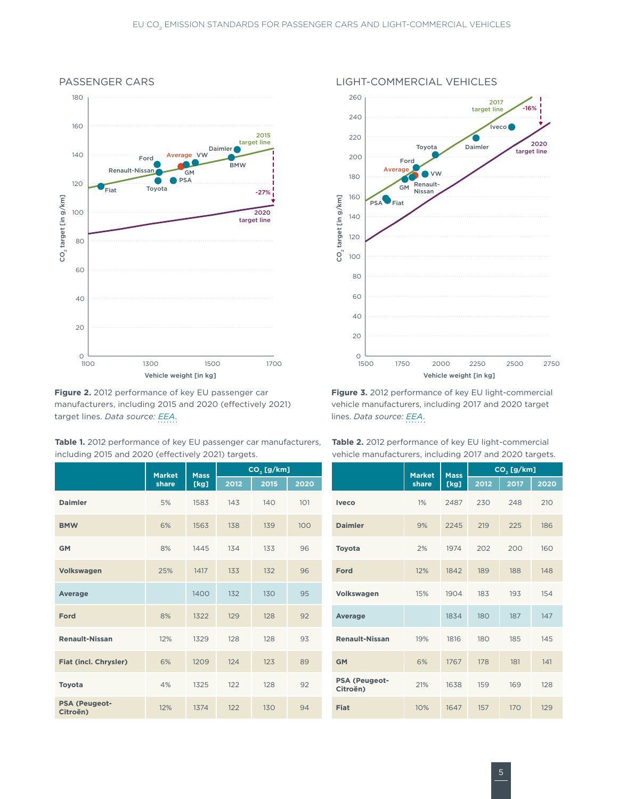

**Figure 2.** 2012 performance of key EU passenger car manufacturers, including 2015 and 2020 (effectively 2021) target lines. *Data source: [EEA](http://www.eea.europa.eu//publications/co2-emissions-performance-of-car-1)*.

**Table 1.** 2012 performance of key EU passenger car manufacturers, including 2015 and 2020 (effectively 2021) targets.

**Market share Mass [kg] CO<sub>2</sub> [g/km]**<br>2015 2020 **Daimler** 5% 1583 143 140 101 **Iveco** 1% 2487 230 248 210 **BMW** 6% 1563 138 139 100 **Daimler** 9% 2245 219 225 186 **GM** 8% 1445 134 133 96 **Toyota** 2% 1974 202 200 160 **Volkswagen** 25% 1417 133 132 96 **Ford** 12% 1842 189 188 148 **Average** 1400 132 130 95 **Volkswagen** 15% 1904 183 193 154 **Ford** 8% 1322 129 128 92 **Average** 1834 180 187 147 **Renault-Nissan** 12% 1329 128 128 93 **Renault-Nissan** 19% 1816 180 185 145 **Fiat (incl. Chrysler)** 6% 1209 124 123 89 **Toyota 1325 122 128 92 PSA (Peugeot-PSA (Peugeot-Citroën)** 12% <sup>1374</sup> <sup>122</sup> <sup>130</sup> <sup>94</sup> **Fiat** 10% <sup>1647</sup> <sup>157</sup> <sup>170</sup> <sup>129</sup>



**Figure 3.** 2012 performance of key EU light-commercial vehicle manufacturers, including 2017 and 2020 target lines. *Data source: [EEA](http://www.eea.europa.eu/highlights/van-manufacturers-must-make-new)*.

| $CO2$ [g/km] |      |      |                                  | <b>Market</b> | <b>Mass</b> | $CO2$ [g/km] |      |      |  |
|--------------|------|------|----------------------------------|---------------|-------------|--------------|------|------|--|
| 2012         | 2015 | 2020 |                                  | share         | [kg]        | 2012         | 2017 | 2020 |  |
| 143          | 140  | 101  | <b>Iveco</b>                     | 1%            | 2487        | 230          | 248  | 210  |  |
| 138          | 139  | 100  | <b>Daimler</b>                   | 9%            | 2245        | 219          | 225  | 186  |  |
| 134          | 133  | 96   | Toyota                           | 2%            | 1974        | 202          | 200  | 160  |  |
| 133          | 132  | 96   | Ford                             | 12%           | 1842        | 189          | 188  | 148  |  |
| 132          | 130  | 95   | Volkswagen                       | 15%           | 1904        | 183          | 193  | 154  |  |
| 129          | 128  | 92   | Average                          |               | 1834        | 180          | 187  | 147  |  |
| 128          | 128  | 93   | <b>Renault-Nissan</b>            | 19%           | 1816        | 180          | 185  | 145  |  |
| 124          | 123  | 89   | <b>GM</b>                        | 6%            | 1767        | 178          | 181  | 141  |  |
| 122          | 128  | 92   | <b>PSA (Peugeot-</b><br>Citroën) | 21%           | 1638        | 159          | 169  | 128  |  |
| 122          | 130  | 94   | Fiat                             | 10%           | 1647        | 157          | 170  | 129  |  |

**Table 2.** 2012 performance of key EU light-commercial vehicle manufacturers, including 2017 and 2020 targets.

### PASSENGER CARS LIGHT-COMMERCIAL VEHICLES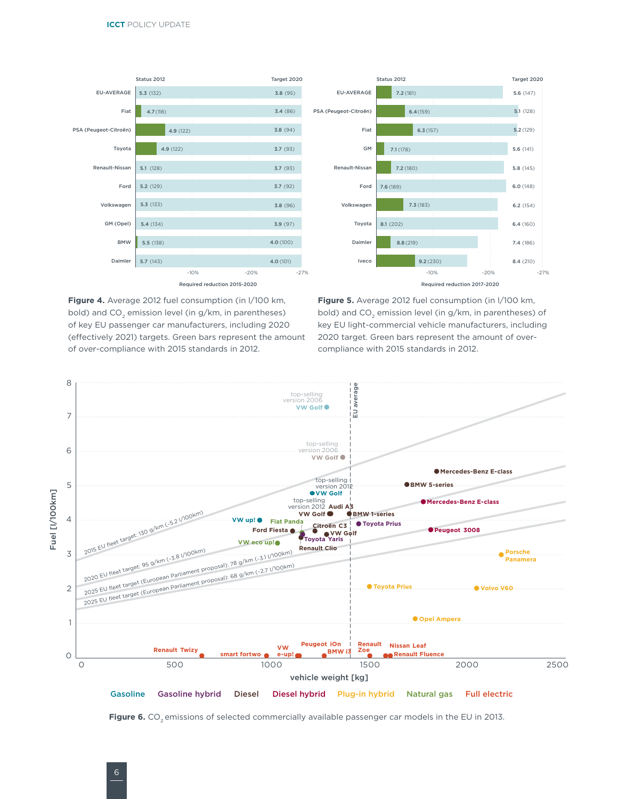

**Figure 4.** Average 2012 fuel consumption (in l/100 km, bold) and  $CO<sub>2</sub>$  emission level (in  $g/km$ , in parentheses) of key EU passenger car manufacturers, including 2020 (effectively 2021) targets. Green bars represent the amount of over-compliance with 2015 standards in 2012.

**Figure 5.** Average 2012 fuel consumption (in l/100 km, bold) and CO<sub>2</sub> emission level (in g/km, in parentheses) of key EU light-commercial vehicle manufacturers, including 2020 target. Green bars represent the amount of overcompliance with 2015 standards in 2012.



Figure 6. CO<sub>2</sub> emissions of selected commercially available passenger car models in the EU in 2013.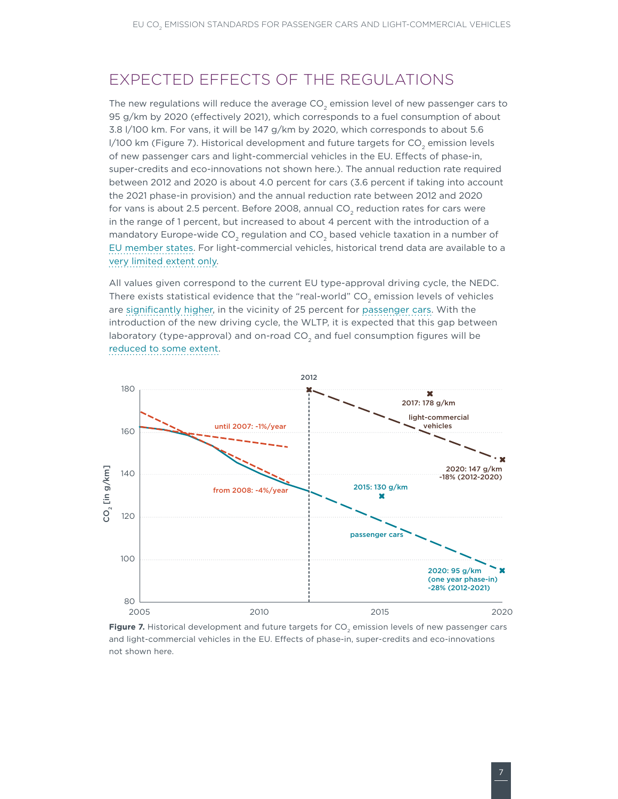### EXPECTED FEFFCTS OF THE REGULATIONS

The new regulations will reduce the average  $CO<sub>2</sub>$  emission level of new passenger cars to 95 g/km by 2020 (effectively 2021), which corresponds to a fuel consumption of about 3.8 l/100 km. For vans, it will be 147 g/km by 2020, which corresponds to about 5.6 l/100 km (Figure 7). Historical development and future targets for CO<sub>2</sub> emission levels [of new passenger cars and light-commercial vehicles in the EU. Effects of phase-in,](#page-6-0)  [super-credits and eco-innovations not shown here.\)](#page-6-0). The annual reduction rate required between 2012 and 2020 is about 4.0 percent for cars (3.6 percent if taking into account the 2021 phase-in provision) and the annual reduction rate between 2012 and 2020 for vans is about 2.5 percent. Before 2008, annual CO<sub>2</sub> reduction rates for cars were in the range of 1 percent, but increased to about 4 percent with the introduction of a mandatory Europe-wide CO<sub>2</sub> regulation and CO<sub>2</sub> based vehicle taxation in a number of [EU member states.](http://www.theicct.org/briefing-near-term-tech%20potential-new-cars-eu) For light-commercial vehicles, historical trend data are available to a [very limited extent only.](http://www.theicct.org/european-vehicle-market-statistics-2013)

All values given correspond to the current EU type-approval driving cycle, the NEDC. There exists statistical evidence that the "real-world"  $CO<sub>2</sub>$  emission levels of vehicles are [significantly higher,](http://www.theicct.org/blogs/staff/eu-consumer-organizations-asking-more-realistic-vehicle-testing) in the vicinity of 25 percent for [passenger cars](http://www.theicct.org/laboratory-road). With the introduction of the new driving cycle, the WLTP, it is expected that this gap between laboratory (type-approval) and on-road  $CO<sub>2</sub>$  and fuel consumption figures will be [reduced to some extent](http://www.theicct.org/wltp-november2013-update).



<span id="page-6-0"></span>Figure 7. Historical development and future targets for CO<sub>2</sub> emission levels of new passenger cars and light-commercial vehicles in the EU. Effects of phase-in, super-credits and eco-innovations not shown here.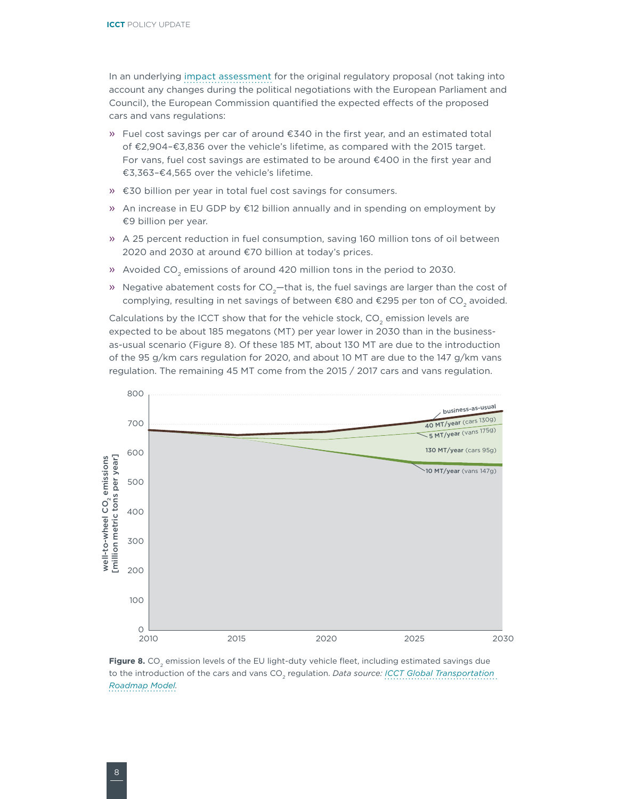In an underlying [impact assessment](http://eur-lex.europa.eu/LexUriServ/LexUriServ.do?uri=SWD:2012:0213:FIN:EN:PDF) for the original regulatory proposal (not taking into account any changes during the political negotiations with the European Parliament and Council), the European Commission quantified the expected effects of the proposed cars and vans regulations:

- » Fuel cost savings per car of around €340 in the first year, and an estimated total of €2,904–€3,836 over the vehicle's lifetime, as compared with the 2015 target. For vans, fuel cost savings are estimated to be around €400 in the first year and €3,363–€4,565 over the vehicle's lifetime.
- » €30 billion per year in total fuel cost savings for consumers.
- » An increase in EU GDP by €12 billion annually and in spending on employment by €9 billion per year.
- » A 25 percent reduction in fuel consumption, saving 160 million tons of oil between 2020 and 2030 at around €70 billion at today's prices.
- » Avoided CO<sub>2</sub> emissions of around 420 million tons in the period to 2030.
- » Negative abatement costs for  $CO<sub>2</sub>$  that is, the fuel savings are larger than the cost of complying, resulting in net savings of between  $\epsilon$ 80 and  $\epsilon$ 295 per ton of CO<sub>2</sub> avoided.

Calculations by the ICCT show that for the vehicle stock, CO<sub>2</sub> emission levels are expected to be about 185 megatons (MT) per year lower in 2030 than in the businessas-usual scenario (Figure 8). Of these 185 MT, about 130 MT are due to the introduction of the 95 g/km cars regulation for 2020, and about 10 MT are due to the 147 g/km vans regulation. The remaining 45 MT come from the 2015 / 2017 cars and vans regulation.



Figure 8. CO<sub>2</sub> emission levels of the EU light-duty vehicle fleet, including estimated savings due to the introduction of the cars and vans CO<sub>2</sub> regulation. *Data source: ICCT Global Transportation [Roadmap Model.](http://www.theicct.org/global-transportation-roadmap-model)*